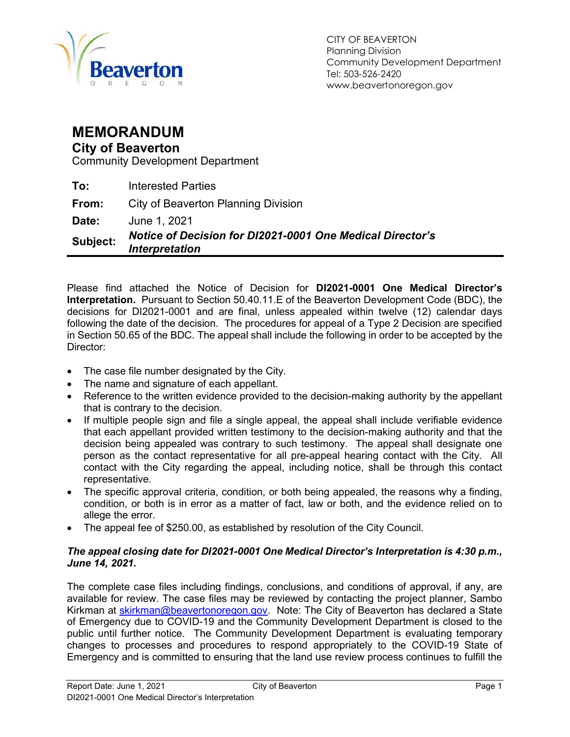

## MEMORANDUM

### City of Beaverton

Community Development Department

To: Interested Parties

**From:** City of Beaverton Planning Division

**Date:** June 1, 2021

Subject: Notice of Decision for DI2021-0001 One Medical Director's Interpretation

Please find attached the Notice of Decision for DI2021-0001 One Medical Director's Interpretation. Pursuant to Section 50.40.11.E of the Beaverton Development Code (BDC), the decisions for DI2021-0001 and are final, unless appealed within twelve (12) calendar days following the date of the decision. The procedures for appeal of a Type 2 Decision are specified in Section 50.65 of the BDC. The appeal shall include the following in order to be accepted by the Director:

- The case file number designated by the City.
- The name and signature of each appellant.
- Reference to the written evidence provided to the decision-making authority by the appellant that is contrary to the decision.
- If multiple people sign and file a single appeal, the appeal shall include verifiable evidence that each appellant provided written testimony to the decision-making authority and that the decision being appealed was contrary to such testimony. The appeal shall designate one person as the contact representative for all pre-appeal hearing contact with the City. All contact with the City regarding the appeal, including notice, shall be through this contact representative.
- The specific approval criteria, condition, or both being appealed, the reasons why a finding, condition, or both is in error as a matter of fact, law or both, and the evidence relied on to allege the error.
- The appeal fee of \$250.00, as established by resolution of the City Council.

#### The appeal closing date for DI2021-0001 One Medical Director's Interpretation is 4:30 p.m., June 14, 2021.

The complete case files including findings, conclusions, and conditions of approval, if any, are available for review. The case files may be reviewed by contacting the project planner, Sambo Kirkman at skirkman@beavertonoregon.gov. Note: The City of Beaverton has declared a State of Emergency due to COVID-19 and the Community Development Department is closed to the public until further notice. The Community Development Department is evaluating temporary changes to processes and procedures to respond appropriately to the COVID-19 State of Emergency and is committed to ensuring that the land use review process continues to fulfill the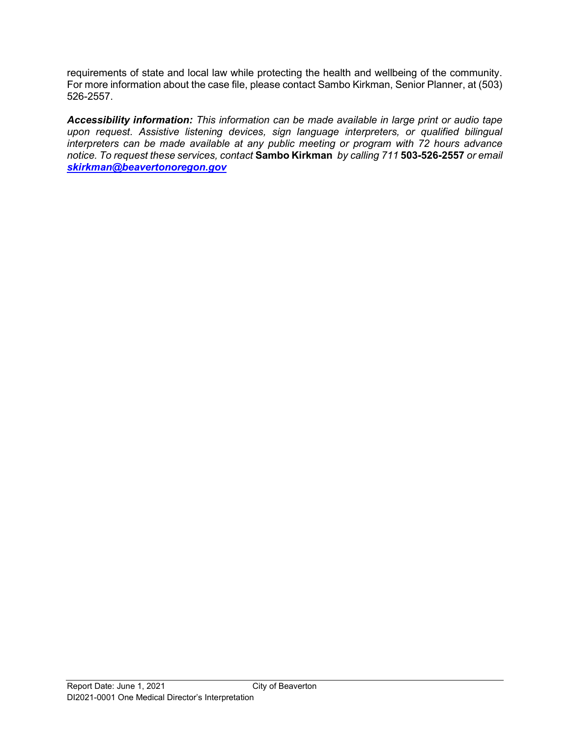requirements of state and local law while protecting the health and wellbeing of the community. For more information about the case file, please contact Sambo Kirkman, Senior Planner, at (503) 526-2557.

Accessibility information: This information can be made available in large print or audio tape upon request. Assistive listening devices, sign language interpreters, or qualified bilingual interpreters can be made available at any public meeting or program with 72 hours advance notice. To request these services, contact Sambo Kirkman by calling 711 503-526-2557 or email skirkman@beavertonoregon.gov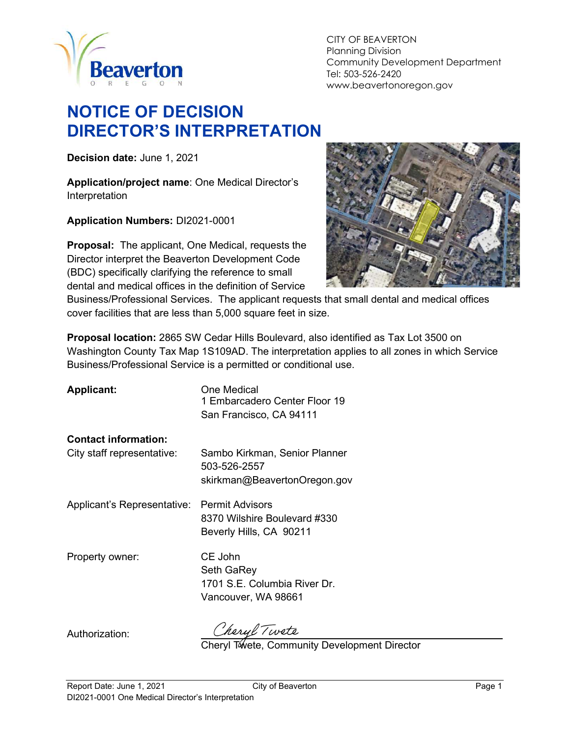

#### CITY OF BEAVERTON Planning Division Community Development Department Tel: 503-526-2420 www.beavertonoregon.gov

# NOTICE OF DECISION DIRECTOR'S INTERPRETATION

Decision date: June 1, 2021

Application/project name: One Medical Director's Interpretation

Application Numbers: DI2021-0001

Proposal: The applicant, One Medical, requests the Director interpret the Beaverton Development Code (BDC) specifically clarifying the reference to small dental and medical offices in the definition of Service



Business/Professional Services. The applicant requests that small dental and medical offices cover facilities that are less than 5,000 square feet in size.

Proposal location: 2865 SW Cedar Hills Boulevard, also identified as Tax Lot 3500 on Washington County Tax Map 1S109AD. The interpretation applies to all zones in which Service Business/Professional Service is a permitted or conditional use.

| <b>Applicant:</b>           | One Medical<br>1 Embarcadero Center Floor 19<br>San Francisco, CA 94111           |
|-----------------------------|-----------------------------------------------------------------------------------|
| <b>Contact information:</b> |                                                                                   |
| City staff representative:  | Sambo Kirkman, Senior Planner<br>503-526-2557                                     |
|                             | skirkman@BeavertonOregon.gov                                                      |
| Applicant's Representative: | <b>Permit Advisors</b><br>8370 Wilshire Boulevard #330<br>Beverly Hills, CA 90211 |
| Property owner:             | CE John<br>Seth GaRey<br>1701 S.E. Columbia River Dr.<br>Vancouver, WA 98661      |
|                             |                                                                                   |

Authorization:

Cheryl Twete<br>Cheryl Twete, Community Development Director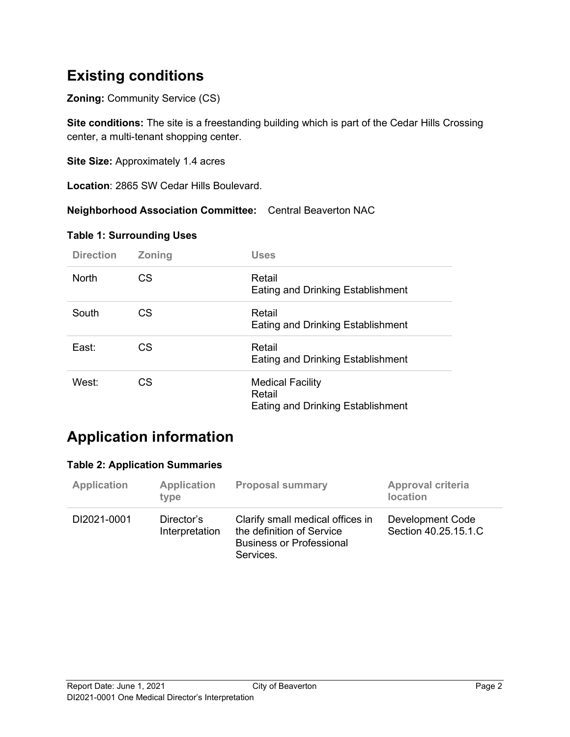## Existing conditions

**Zoning: Community Service (CS)** 

Site conditions: The site is a freestanding building which is part of the Cedar Hills Crossing center, a multi-tenant shopping center.

Site Size: Approximately 1.4 acres

Location: 2865 SW Cedar Hills Boulevard.

Neighborhood Association Committee: Central Beaverton NAC

### Table 1: Surrounding Uses

| <b>Direction</b> | <b>Zoning</b> | <b>Uses</b>                                                                   |
|------------------|---------------|-------------------------------------------------------------------------------|
| <b>North</b>     | CS            | Retail<br><b>Eating and Drinking Establishment</b>                            |
| South            | CS.           | Retail<br><b>Eating and Drinking Establishment</b>                            |
| East:            | CS            | Retail<br><b>Eating and Drinking Establishment</b>                            |
| West:            | CS            | <b>Medical Facility</b><br>Retail<br><b>Eating and Drinking Establishment</b> |

## Application information

#### Table 2: Application Summaries

| <b>Application</b> | <b>Application</b><br>type   | <b>Proposal summary</b>                                                                                       | Approval criteria<br><b>location</b>     |
|--------------------|------------------------------|---------------------------------------------------------------------------------------------------------------|------------------------------------------|
| DI2021-0001        | Director's<br>Interpretation | Clarify small medical offices in<br>the definition of Service<br><b>Business or Professional</b><br>Services. | Development Code<br>Section 40.25.15.1.C |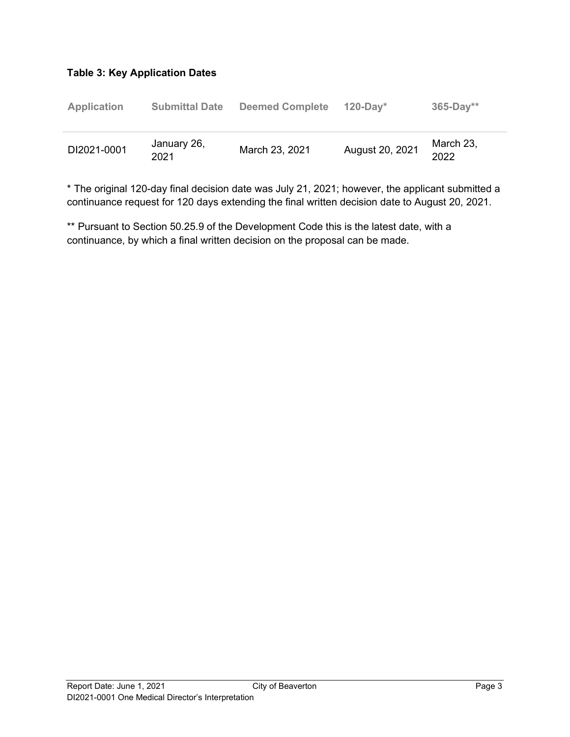### Table 3: Key Application Dates

| <b>Application</b> | <b>Submittal Date</b> | <b>Deemed Complete</b> | $120-Dav^*$     | $365-Day**$       |
|--------------------|-----------------------|------------------------|-----------------|-------------------|
| DI2021-0001        | January 26,<br>2021   | March 23, 2021         | August 20, 2021 | March 23,<br>2022 |

\* The original 120-day final decision date was July 21, 2021; however, the applicant submitted a continuance request for 120 days extending the final written decision date to August 20, 2021.

\*\* Pursuant to Section 50.25.9 of the Development Code this is the latest date, with a continuance, by which a final written decision on the proposal can be made.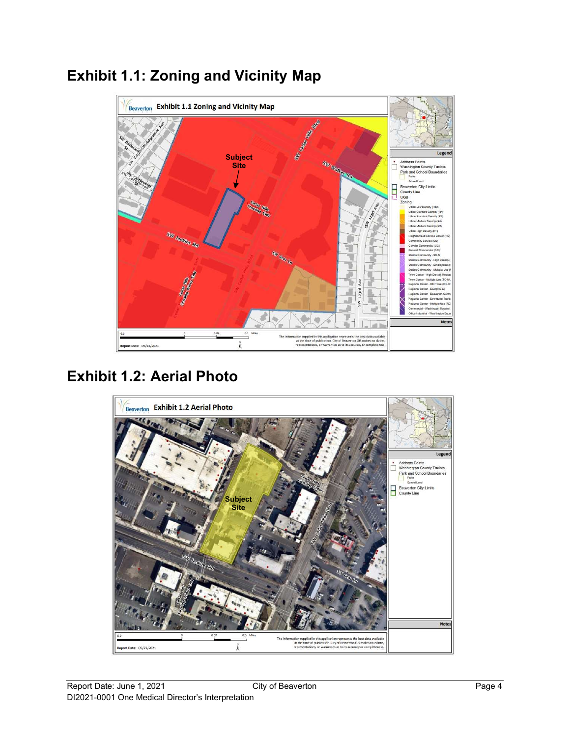

# Exhibit 1.1: Zoning and Vicinity Map

# Exhibit 1.2: Aerial Photo

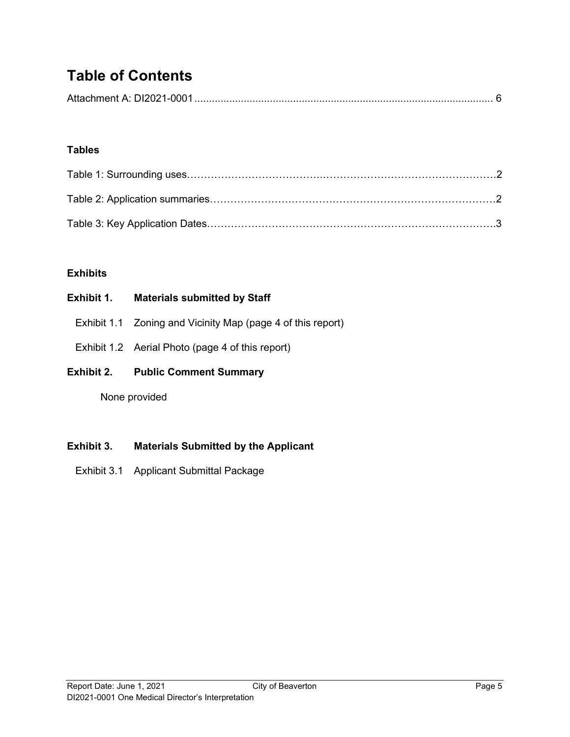# Table of Contents

### Tables

### **Exhibits**

| Exhibit 1. | <b>Materials submitted by Staff</b>                         |
|------------|-------------------------------------------------------------|
|            | Exhibit 1.1 Zoning and Vicinity Map (page 4 of this report) |
|            | Exhibit 1.2 Aerial Photo (page 4 of this report)            |
| Exhibit 2. | <b>Public Comment Summary</b>                               |
|            | None provided                                               |
|            |                                                             |

### Exhibit 3. Materials Submitted by the Applicant

Exhibit 3.1 Applicant Submittal Package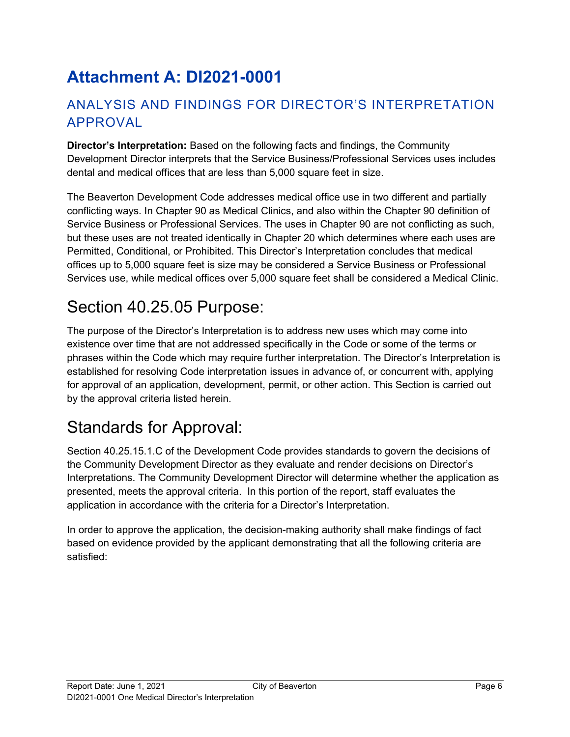# Attachment A: DI2021-0001

## ANALYSIS AND FINDINGS FOR DIRECTOR'S INTERPRETATION APPROVAL

Director's Interpretation: Based on the following facts and findings, the Community Development Director interprets that the Service Business/Professional Services uses includes dental and medical offices that are less than 5,000 square feet in size.

The Beaverton Development Code addresses medical office use in two different and partially conflicting ways. In Chapter 90 as Medical Clinics, and also within the Chapter 90 definition of Service Business or Professional Services. The uses in Chapter 90 are not conflicting as such, but these uses are not treated identically in Chapter 20 which determines where each uses are Permitted, Conditional, or Prohibited. This Director's Interpretation concludes that medical offices up to 5,000 square feet is size may be considered a Service Business or Professional Services use, while medical offices over 5,000 square feet shall be considered a Medical Clinic.

# Section 40.25.05 Purpose:

The purpose of the Director's Interpretation is to address new uses which may come into existence over time that are not addressed specifically in the Code or some of the terms or phrases within the Code which may require further interpretation. The Director's Interpretation is established for resolving Code interpretation issues in advance of, or concurrent with, applying for approval of an application, development, permit, or other action. This Section is carried out by the approval criteria listed herein.

# Standards for Approval:

Section 40.25.15.1.C of the Development Code provides standards to govern the decisions of the Community Development Director as they evaluate and render decisions on Director's Interpretations. The Community Development Director will determine whether the application as presented, meets the approval criteria. In this portion of the report, staff evaluates the application in accordance with the criteria for a Director's Interpretation.

In order to approve the application, the decision-making authority shall make findings of fact based on evidence provided by the applicant demonstrating that all the following criteria are satisfied: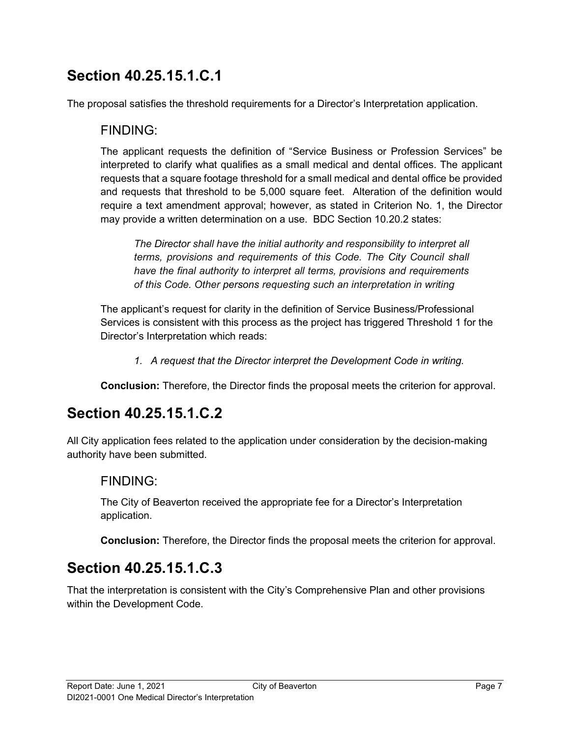## Section 40.25.15.1.C.1

The proposal satisfies the threshold requirements for a Director's Interpretation application.

### FINDING:

The applicant requests the definition of "Service Business or Profession Services" be interpreted to clarify what qualifies as a small medical and dental offices. The applicant requests that a square footage threshold for a small medical and dental office be provided and requests that threshold to be 5,000 square feet. Alteration of the definition would require a text amendment approval; however, as stated in Criterion No. 1, the Director may provide a written determination on a use. BDC Section 10.20.2 states:

The Director shall have the initial authority and responsibility to interpret all terms, provisions and requirements of this Code. The City Council shall have the final authority to interpret all terms, provisions and requirements of this Code. Other persons requesting such an interpretation in writing

The applicant's request for clarity in the definition of Service Business/Professional Services is consistent with this process as the project has triggered Threshold 1 for the Director's Interpretation which reads:

1. A request that the Director interpret the Development Code in writing.

Conclusion: Therefore, the Director finds the proposal meets the criterion for approval.

## Section 40.25.15.1.C.2

All City application fees related to the application under consideration by the decision-making authority have been submitted.

### FINDING:

The City of Beaverton received the appropriate fee for a Director's Interpretation application.

Conclusion: Therefore, the Director finds the proposal meets the criterion for approval.

## Section 40.25.15.1.C.3

That the interpretation is consistent with the City's Comprehensive Plan and other provisions within the Development Code.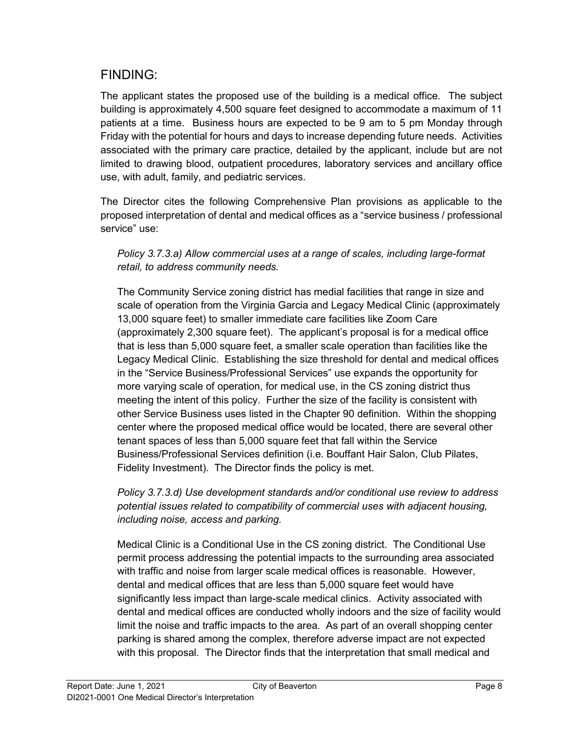## FINDING:

The applicant states the proposed use of the building is a medical office. The subject building is approximately 4,500 square feet designed to accommodate a maximum of 11 patients at a time. Business hours are expected to be 9 am to 5 pm Monday through Friday with the potential for hours and days to increase depending future needs. Activities associated with the primary care practice, detailed by the applicant, include but are not limited to drawing blood, outpatient procedures, laboratory services and ancillary office use, with adult, family, and pediatric services.

The Director cites the following Comprehensive Plan provisions as applicable to the proposed interpretation of dental and medical offices as a "service business / professional service" use:

### Policy 3.7.3.a) Allow commercial uses at a range of scales, including large-format retail, to address community needs.

The Community Service zoning district has medial facilities that range in size and scale of operation from the Virginia Garcia and Legacy Medical Clinic (approximately 13,000 square feet) to smaller immediate care facilities like Zoom Care (approximately 2,300 square feet). The applicant's proposal is for a medical office that is less than 5,000 square feet, a smaller scale operation than facilities like the Legacy Medical Clinic. Establishing the size threshold for dental and medical offices in the "Service Business/Professional Services" use expands the opportunity for more varying scale of operation, for medical use, in the CS zoning district thus meeting the intent of this policy. Further the size of the facility is consistent with other Service Business uses listed in the Chapter 90 definition. Within the shopping center where the proposed medical office would be located, there are several other tenant spaces of less than 5,000 square feet that fall within the Service Business/Professional Services definition (i.e. Bouffant Hair Salon, Club Pilates, Fidelity Investment). The Director finds the policy is met.

Policy 3.7.3.d) Use development standards and/or conditional use review to address potential issues related to compatibility of commercial uses with adjacent housing, including noise, access and parking.

Medical Clinic is a Conditional Use in the CS zoning district. The Conditional Use permit process addressing the potential impacts to the surrounding area associated with traffic and noise from larger scale medical offices is reasonable. However, dental and medical offices that are less than 5,000 square feet would have significantly less impact than large-scale medical clinics. Activity associated with dental and medical offices are conducted wholly indoors and the size of facility would limit the noise and traffic impacts to the area. As part of an overall shopping center parking is shared among the complex, therefore adverse impact are not expected with this proposal. The Director finds that the interpretation that small medical and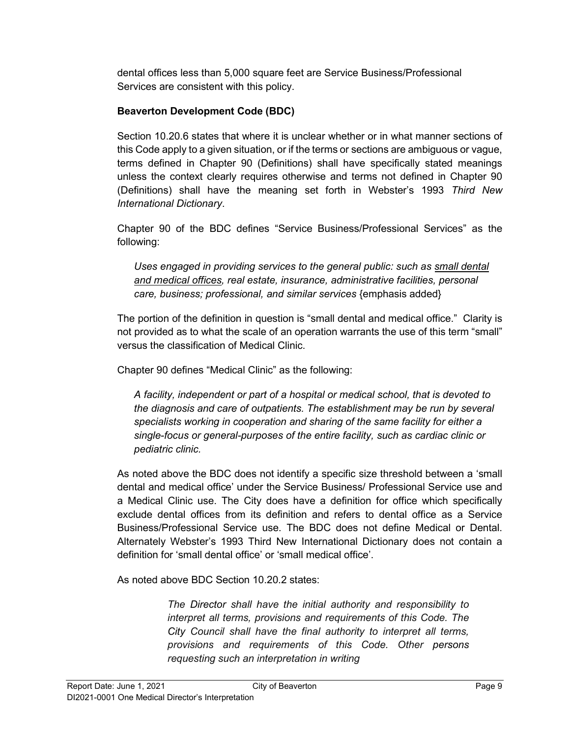dental offices less than 5,000 square feet are Service Business/Professional Services are consistent with this policy.

### Beaverton Development Code (BDC)

Section 10.20.6 states that where it is unclear whether or in what manner sections of this Code apply to a given situation, or if the terms or sections are ambiguous or vague, terms defined in Chapter 90 (Definitions) shall have specifically stated meanings unless the context clearly requires otherwise and terms not defined in Chapter 90 (Definitions) shall have the meaning set forth in Webster's 1993 Third New International Dictionary.

Chapter 90 of the BDC defines "Service Business/Professional Services" as the following:

Uses engaged in providing services to the general public: such as small dental and medical offices, real estate, insurance, administrative facilities, personal care, business; professional, and similar services {emphasis added}

The portion of the definition in question is "small dental and medical office." Clarity is not provided as to what the scale of an operation warrants the use of this term "small" versus the classification of Medical Clinic.

Chapter 90 defines "Medical Clinic" as the following:

A facility, independent or part of a hospital or medical school, that is devoted to the diagnosis and care of outpatients. The establishment may be run by several specialists working in cooperation and sharing of the same facility for either a single-focus or general-purposes of the entire facility, such as cardiac clinic or pediatric clinic.

As noted above the BDC does not identify a specific size threshold between a 'small dental and medical office' under the Service Business/ Professional Service use and a Medical Clinic use. The City does have a definition for office which specifically exclude dental offices from its definition and refers to dental office as a Service Business/Professional Service use. The BDC does not define Medical or Dental. Alternately Webster's 1993 Third New International Dictionary does not contain a definition for 'small dental office' or 'small medical office'.

As noted above BDC Section 10.20.2 states:

The Director shall have the initial authority and responsibility to interpret all terms, provisions and requirements of this Code. The City Council shall have the final authority to interpret all terms, provisions and requirements of this Code. Other persons requesting such an interpretation in writing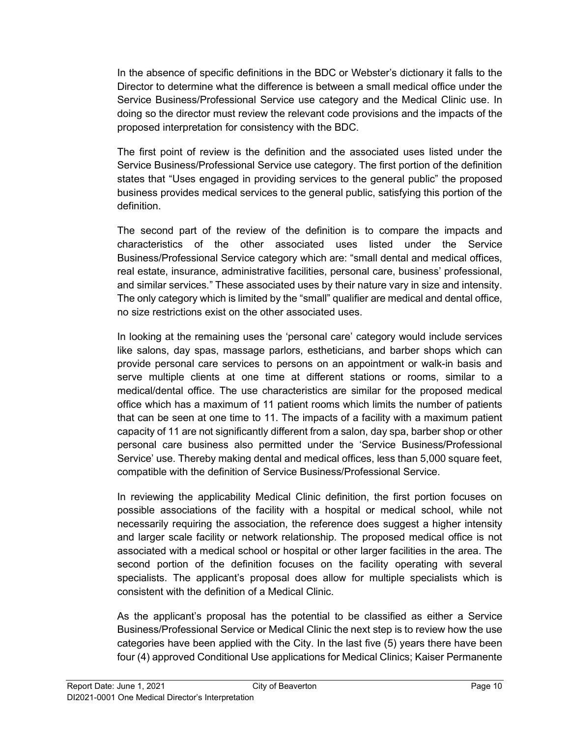In the absence of specific definitions in the BDC or Webster's dictionary it falls to the Director to determine what the difference is between a small medical office under the Service Business/Professional Service use category and the Medical Clinic use. In doing so the director must review the relevant code provisions and the impacts of the proposed interpretation for consistency with the BDC.

The first point of review is the definition and the associated uses listed under the Service Business/Professional Service use category. The first portion of the definition states that "Uses engaged in providing services to the general public" the proposed business provides medical services to the general public, satisfying this portion of the definition.

The second part of the review of the definition is to compare the impacts and characteristics of the other associated uses listed under the Service Business/Professional Service category which are: "small dental and medical offices, real estate, insurance, administrative facilities, personal care, business' professional, and similar services." These associated uses by their nature vary in size and intensity. The only category which is limited by the "small" qualifier are medical and dental office, no size restrictions exist on the other associated uses.

In looking at the remaining uses the 'personal care' category would include services like salons, day spas, massage parlors, estheticians, and barber shops which can provide personal care services to persons on an appointment or walk-in basis and serve multiple clients at one time at different stations or rooms, similar to a medical/dental office. The use characteristics are similar for the proposed medical office which has a maximum of 11 patient rooms which limits the number of patients that can be seen at one time to 11. The impacts of a facility with a maximum patient capacity of 11 are not significantly different from a salon, day spa, barber shop or other personal care business also permitted under the 'Service Business/Professional Service' use. Thereby making dental and medical offices, less than 5,000 square feet, compatible with the definition of Service Business/Professional Service.

In reviewing the applicability Medical Clinic definition, the first portion focuses on possible associations of the facility with a hospital or medical school, while not necessarily requiring the association, the reference does suggest a higher intensity and larger scale facility or network relationship. The proposed medical office is not associated with a medical school or hospital or other larger facilities in the area. The second portion of the definition focuses on the facility operating with several specialists. The applicant's proposal does allow for multiple specialists which is consistent with the definition of a Medical Clinic.

As the applicant's proposal has the potential to be classified as either a Service Business/Professional Service or Medical Clinic the next step is to review how the use categories have been applied with the City. In the last five (5) years there have been four (4) approved Conditional Use applications for Medical Clinics; Kaiser Permanente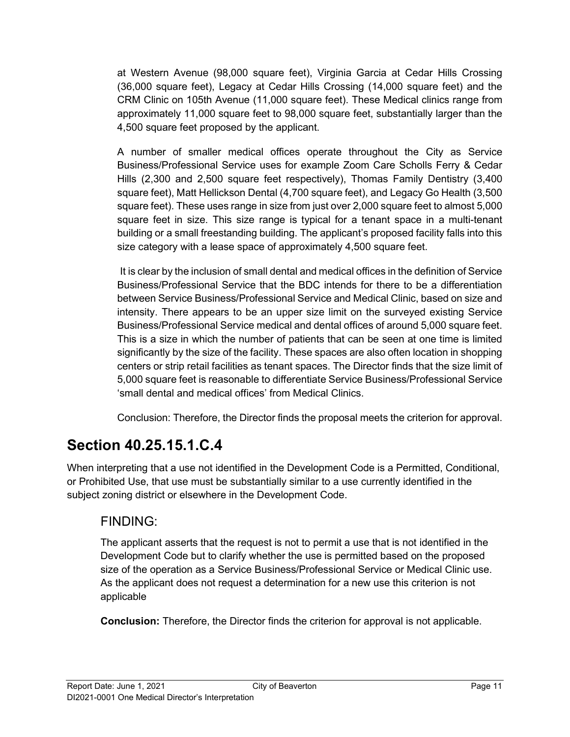at Western Avenue (98,000 square feet), Virginia Garcia at Cedar Hills Crossing (36,000 square feet), Legacy at Cedar Hills Crossing (14,000 square feet) and the CRM Clinic on 105th Avenue (11,000 square feet). These Medical clinics range from approximately 11,000 square feet to 98,000 square feet, substantially larger than the 4,500 square feet proposed by the applicant.

A number of smaller medical offices operate throughout the City as Service Business/Professional Service uses for example Zoom Care Scholls Ferry & Cedar Hills (2,300 and 2,500 square feet respectively), Thomas Family Dentistry (3,400 square feet), Matt Hellickson Dental (4,700 square feet), and Legacy Go Health (3,500 square feet). These uses range in size from just over 2,000 square feet to almost 5,000 square feet in size. This size range is typical for a tenant space in a multi-tenant building or a small freestanding building. The applicant's proposed facility falls into this size category with a lease space of approximately 4,500 square feet.

 It is clear by the inclusion of small dental and medical offices in the definition of Service Business/Professional Service that the BDC intends for there to be a differentiation between Service Business/Professional Service and Medical Clinic, based on size and intensity. There appears to be an upper size limit on the surveyed existing Service Business/Professional Service medical and dental offices of around 5,000 square feet. This is a size in which the number of patients that can be seen at one time is limited significantly by the size of the facility. These spaces are also often location in shopping centers or strip retail facilities as tenant spaces. The Director finds that the size limit of 5,000 square feet is reasonable to differentiate Service Business/Professional Service 'small dental and medical offices' from Medical Clinics.

Conclusion: Therefore, the Director finds the proposal meets the criterion for approval.

# Section 40.25.15.1.C.4

When interpreting that a use not identified in the Development Code is a Permitted, Conditional, or Prohibited Use, that use must be substantially similar to a use currently identified in the subject zoning district or elsewhere in the Development Code.

## FINDING:

The applicant asserts that the request is not to permit a use that is not identified in the Development Code but to clarify whether the use is permitted based on the proposed size of the operation as a Service Business/Professional Service or Medical Clinic use. As the applicant does not request a determination for a new use this criterion is not applicable

Conclusion: Therefore, the Director finds the criterion for approval is not applicable.